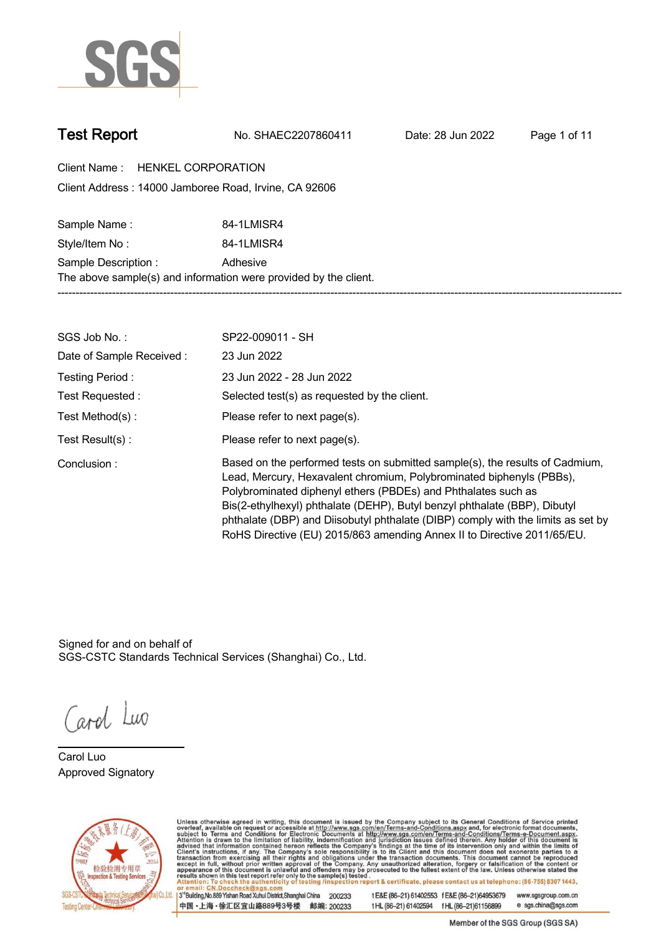

**Test Report. No. SHAEC2207860411 . Date: 28 Jun 2022. Page 1 of 11.**

**Client Name : HENKEL CORPORATION . 14000 Jamboree Road, Irvine, CA 92606 . Client Address :**

Sample Name : **84-1LMISR4 Style/Item No :. 84-1LMISR4. Sample Description : . Adhesive. The above sample(s) and information were provided by the client. -----------------------------------------------------------------------------------------------------------------------------------------------------------**

| SGS Job No.:             | SP22-009011 - SH                                                                                                                                                                                                                                                                                                                                                                                                                                                  |
|--------------------------|-------------------------------------------------------------------------------------------------------------------------------------------------------------------------------------------------------------------------------------------------------------------------------------------------------------------------------------------------------------------------------------------------------------------------------------------------------------------|
| Date of Sample Received: | 23 Jun 2022                                                                                                                                                                                                                                                                                                                                                                                                                                                       |
| Testing Period:          | 23 Jun 2022 - 28 Jun 2022                                                                                                                                                                                                                                                                                                                                                                                                                                         |
| Test Requested:          | Selected test(s) as requested by the client.                                                                                                                                                                                                                                                                                                                                                                                                                      |
| Test Method(s):          | Please refer to next page(s).                                                                                                                                                                                                                                                                                                                                                                                                                                     |
| Test $Result(s)$ :       | Please refer to next page(s).                                                                                                                                                                                                                                                                                                                                                                                                                                     |
| Conclusion:              | Based on the performed tests on submitted sample(s), the results of Cadmium,<br>Lead, Mercury, Hexavalent chromium, Polybrominated biphenyls (PBBs),<br>Polybrominated diphenyl ethers (PBDEs) and Phthalates such as<br>Bis(2-ethylhexyl) phthalate (DEHP), Butyl benzyl phthalate (BBP), Dibutyl<br>phthalate (DBP) and Diisobutyl phthalate (DIBP) comply with the limits as set by<br>RoHS Directive (EU) 2015/863 amending Annex II to Directive 2011/65/EU. |

Signed for and on behalf of SGS-CSTC Standards Technical Services (Shanghai) Co., Ltd..

Carol Luo

**Carol Luo. Approved Signatory .**



Unless otherwise agreed in writing, this document is issued by the Company subject to its General Conditions of Service printed overleaf, available on request or accessible at http://www.sgs.com/en/Terms-and-Conditions.asp

3<sup>rd</sup> Building, No.889 Yishan Road Xuhui District, Shanghai China 200233 中国·上海·徐汇区宜山路889号3号楼 邮编: 200233 tE&E (86-21) 61402553 fE&E (86-21)64953679 www.sgsgroup.com.cn tHL (86-21) 61402594 fHL (86-21) 61156899 e sgs.china@sgs.com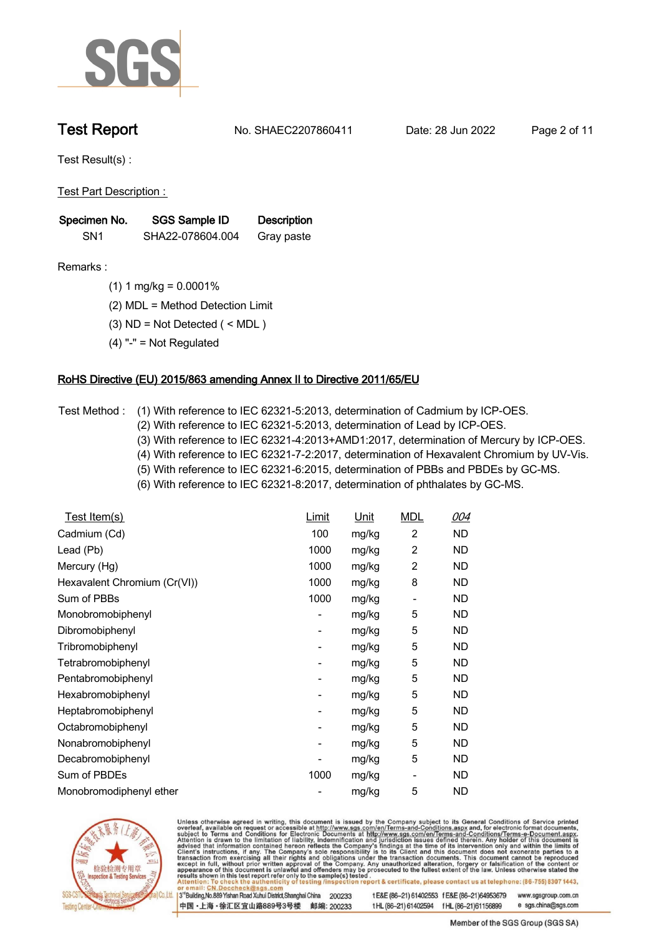

**Test Report. No. SHAEC2207860411 . Date: 28 Jun 2022. Page 2 of 11.**

**Test Result(s) :.**

**Test Part Description : .**

| Specimen No.    | SGS Sample ID    | <b>Description</b> |
|-----------------|------------------|--------------------|
| SN <sub>1</sub> | SHA22-078604.004 | Gray paste         |

- **Remarks :.(1) 1 mg/kg = 0.0001% .**
	- **(2) MDL = Method Detection Limit .**
	- **(3) ND = Not Detected ( < MDL ) .**
	- **(4) "-" = Not Regulated .**

## **RoHS Directive (EU) 2015/863 amending Annex II to Directive 2011/65/EU.**

- **Test Method :. (1) With reference to IEC 62321-5:2013, determination of Cadmium by ICP-OES.** 
	- **(2) With reference to IEC 62321-5:2013, determination of Lead by ICP-OES.**
	- **(3) With reference to IEC 62321-4:2013+AMD1:2017, determination of Mercury by ICP-OES.**
	- **(4) With reference to IEC 62321-7-2:2017, determination of Hexavalent Chromium by UV-Vis.**
	- **(5) With reference to IEC 62321-6:2015, determination of PBBs and PBDEs by GC-MS.**
	- **(6) With reference to IEC 62321-8:2017, determination of phthalates by GC-MS. .**

| Test Item(s)                 | Limit | <u>Unit</u> | <b>MDL</b>                   | 004       |
|------------------------------|-------|-------------|------------------------------|-----------|
| Cadmium (Cd)                 | 100   | mg/kg       | $\overline{2}$               | <b>ND</b> |
| Lead (Pb)                    | 1000  | mg/kg       | $\overline{2}$               | <b>ND</b> |
| Mercury (Hg)                 | 1000  | mg/kg       | 2                            | ND.       |
| Hexavalent Chromium (Cr(VI)) | 1000  | mg/kg       | 8                            | ND.       |
| Sum of PBBs                  | 1000  | mg/kg       | $\qquad \qquad \blacksquare$ | ND        |
| Monobromobiphenyl            |       | mg/kg       | 5                            | ND        |
| Dibromobiphenyl              | -     | mg/kg       | 5                            | ND        |
| Tribromobiphenyl             | -     | mg/kg       | 5                            | ND        |
| Tetrabromobiphenyl           | ٠     | mg/kg       | 5                            | ND        |
| Pentabromobiphenyl           |       | mg/kg       | 5                            | ND        |
| Hexabromobiphenyl            |       | mg/kg       | 5                            | ND.       |
| Heptabromobiphenyl           |       | mg/kg       | 5                            | ND.       |
| Octabromobiphenyl            |       | mg/kg       | 5                            | ND.       |
| Nonabromobiphenyl            |       | mg/kg       | 5                            | ND.       |
| Decabromobiphenyl            |       | mg/kg       | 5                            | ND        |
| Sum of PBDEs                 | 1000  | mg/kg       | $\qquad \qquad \blacksquare$ | ND        |
| Monobromodiphenyl ether      |       | mg/kg       | 5                            | <b>ND</b> |



Unless otherwise agreed in writing, this document is issued by the Company subject to its General Conditions of Service printed overleaf, available on request or accessible at http://www.sgs.com/en/Terms-and-Conditions.asp

3<sup>14</sup> Building, No.889 Yishan Road Xuhui District, Shanghai China 200233 中国·上海·徐汇区宜山路889号3号楼 邮编: 200233 tE&E (86-21) 61402553 fE&E (86-21)64953679 www.sgsgroup.com.cn

t HL (86-21) 61402594 f HL (86-21) 61156899 e sgs.china@sgs.com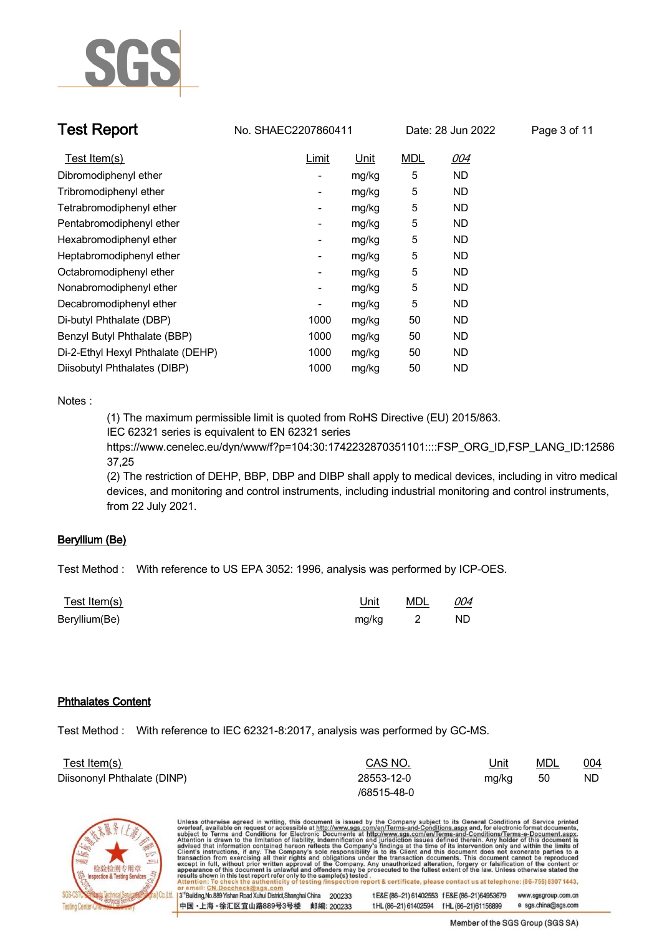

| <b>Test Report</b>                | No. SHAEC2207860411      |             |            | Date: 28 Jun 2022 | Page 3 of 11 |
|-----------------------------------|--------------------------|-------------|------------|-------------------|--------------|
| Test Item(s)                      | <b>Limit</b>             | <u>Unit</u> | <b>MDL</b> | <u>004</u>        |              |
| Dibromodiphenyl ether             | -                        | mg/kg       | 5          | <b>ND</b>         |              |
| Tribromodiphenyl ether            | -                        | mg/kg       | 5          | <b>ND</b>         |              |
| Tetrabromodiphenyl ether          | -                        | mg/kg       | 5          | <b>ND</b>         |              |
| Pentabromodiphenyl ether          | -                        | mg/kg       | 5          | <b>ND</b>         |              |
| Hexabromodiphenyl ether           | -                        | mg/kg       | 5          | ND.               |              |
| Heptabromodiphenyl ether          | -                        | mg/kg       | 5          | <b>ND</b>         |              |
| Octabromodiphenyl ether           | -                        | mg/kg       | 5          | <b>ND</b>         |              |
| Nonabromodiphenyl ether           | -                        | mg/kg       | 5          | <b>ND</b>         |              |
| Decabromodiphenyl ether           | $\overline{\phantom{0}}$ | mg/kg       | 5          | ND.               |              |
| Di-butyl Phthalate (DBP)          | 1000                     | mg/kg       | 50         | <b>ND</b>         |              |
| Benzyl Butyl Phthalate (BBP)      | 1000                     | mg/kg       | 50         | <b>ND</b>         |              |
| Di-2-Ethyl Hexyl Phthalate (DEHP) | 1000                     | mg/kg       | 50         | ND.               |              |

## **Notes :.**

**(1) The maximum permissible limit is quoted from RoHS Directive (EU) 2015/863.**

**IEC 62321 series is equivalent to EN 62321 series**

**Diisobutyl Phthalates (DIBP) . 1000 mg/kg. 50 ND.**

**https://www.cenelec.eu/dyn/www/f?p=104:30:1742232870351101::::FSP\_ORG\_ID,FSP\_LANG\_ID:12586 37,25**

**(2) The restriction of DEHP, BBP, DBP and DIBP shall apply to medical devices, including in vitro medical devices, and monitoring and control instruments, including industrial monitoring and control instruments, from 22 July 2021..**

## **Beryllium (Be).**

**Test Method :. With reference to US EPA 3052: 1996, analysis was performed by ICP-OES. .**

| <u>Test Item(s)</u> | Unit    | MDL | 004 |  |
|---------------------|---------|-----|-----|--|
| Beryllium(Be)       | mg/kg 2 |     | ND. |  |

## **Phthalates Content.**

**Test Method :. With reference to IEC 62321-8:2017, analysis was performed by GC-MS. .**

| Test Item(s)                | CAS NO.     | <u>Unit</u> | MDL | 004 |  |
|-----------------------------|-------------|-------------|-----|-----|--|
| Diisononyl Phthalate (DINP) | 28553-12-0  | mg/kg       | 50  | ND  |  |
|                             | /68515-48-0 |             |     |     |  |



Unless otherwise agreed in writing, this document is issued by the Company subject to its General Conditions of Service printed overleaf, available on request or accessible at http://www.sgs.com/en/Terms-and-Conditions.asp 3<sup>14</sup> Building, No.889 Yishan Road Xuhui District, Shanghai China 200233 tE&E (86-21) 61402553 fE&E (86-21)64953679 www.sgsgroup.com.cn 中国·上海·徐汇区宜山路889号3号楼 邮编: 200233 t HL (86-21) 61402594 f HL (86-21) 61156899 e sgs.china@sgs.com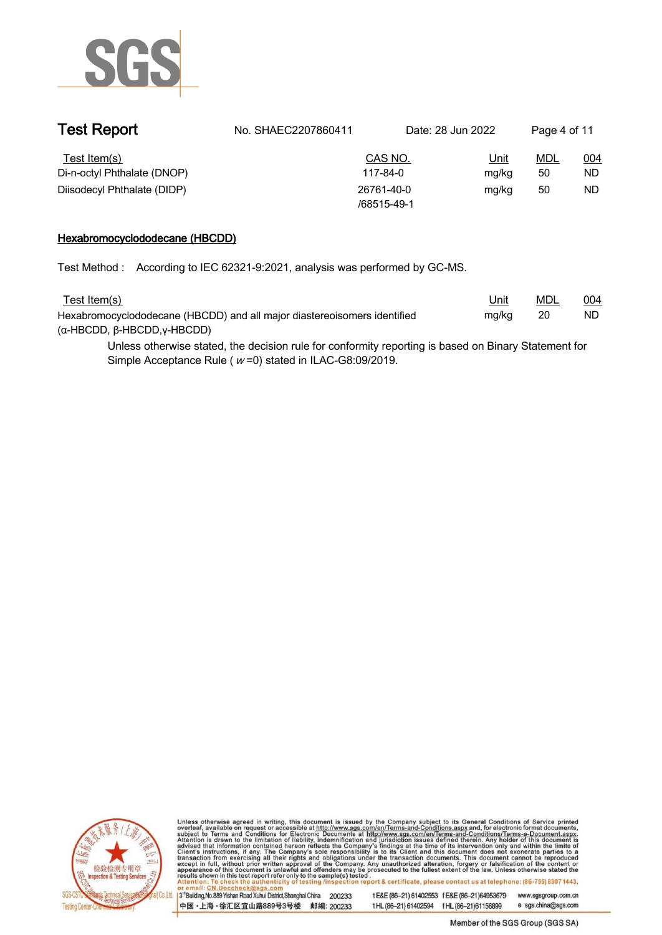

| CAS NO.<br><u>MDL</u><br>004<br>Test Item(s)<br><u>Unit</u><br>Di-n-octyl Phthalate (DNOP)<br>ND<br>50<br>117-84-0<br>mg/kg<br>Diisodecyl Phthalate (DIDP)<br>50<br>ND<br>26761-40-0<br>mg/kg<br>/68515-49-1 | <b>Test Report</b> | No. SHAEC2207860411 | Date: 28 Jun 2022 | Page 4 of 11 |  |
|--------------------------------------------------------------------------------------------------------------------------------------------------------------------------------------------------------------|--------------------|---------------------|-------------------|--------------|--|
|                                                                                                                                                                                                              |                    |                     |                   |              |  |
|                                                                                                                                                                                                              |                    |                     |                   |              |  |
|                                                                                                                                                                                                              |                    |                     |                   |              |  |

## **Hexabromocyclododecane (HBCDD).**

**Test Method :. According to IEC 62321-9:2021, analysis was performed by GC-MS. .**

| Test Item(s)                                                             | <u>Unit</u> | MDL | 004 |
|--------------------------------------------------------------------------|-------------|-----|-----|
| Hexabromocyclododecane (HBCDD) and all major diastereoisomers identified | mg/kg       | 20  | ND  |
| $(\alpha$ -HBCDD, $\beta$ -HBCDD, $\gamma$ -HBCDD)                       |             |     |     |

**Unless otherwise stated, the decision rule for conformity reporting is based on Binary Statement for Simple Acceptance Rule ( <sup>w</sup> =0) stated in ILAC-G8:09/2019. .**



Unless otherwise agreed in writing, this document is issued by the Company subject to its General Conditions of Service printed overleaf, available on request or accessible at http://www.sgs.com/en/Terms-and-Conditions.asp

3<sup>'</sup>Building, No.889 Yishan Road Xuhui District, Shanghai China 200233 中国·上海·徐汇区宜山路889号3号楼 邮编: 200233 tE&E (86-21) 61402553 fE&E (86-21)64953679 www.sgsgroup.com.cn

e sgs.china@sgs.com t HL (86-21) 61402594 f HL (86-21) 61156899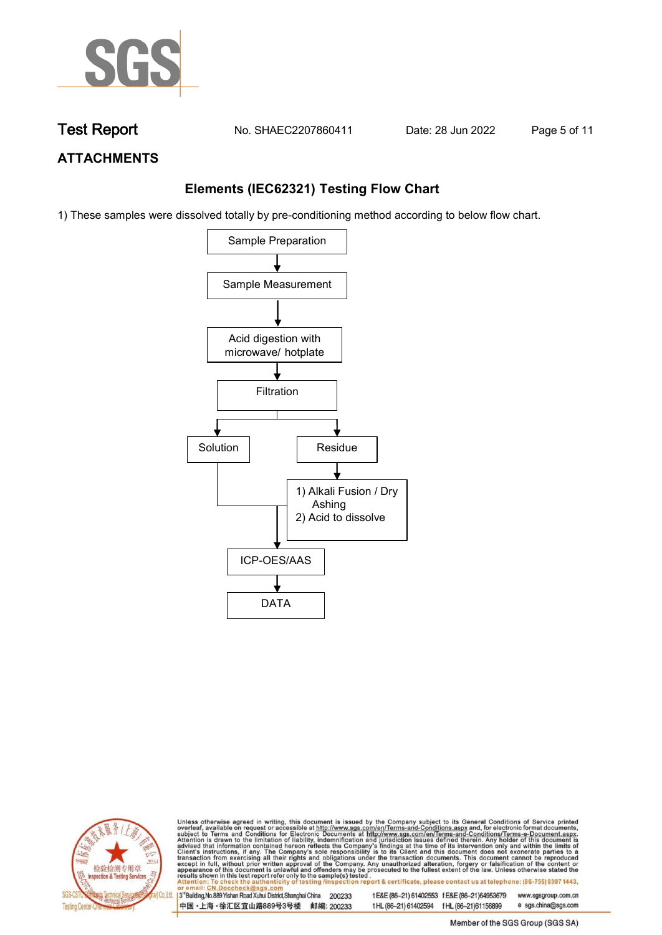

**Test Report. No. SHAEC2207860411 . Date: 28 Jun 2022. Page 5 of 11.**

# **ATTACHMENTS**

# **Elements (IEC62321) Testing Flow Chart**

1) These samples were dissolved totally by pre-conditioning method according to below flow chart.





Unless otherwise agreed in writing, this document is issued by the Company subject to its General Conditions of Service printed overleaf, available on request or accessible at http://www.sgs.com/en/Terms-and-Conditions.asp

3<sup>rd</sup> Building, No.889 Yishan Road Xuhui District, Shanghai China 200233 中国·上海·徐汇区宜山路889号3号楼 邮编: 200233 tE&E (86-21) 61402553 fE&E (86-21)64953679 www.sgsgroup.com.cn e sgs.china@sgs.com t HL (86-21) 61402594 f HL (86-21) 61156899

Member of the SGS Group (SGS SA)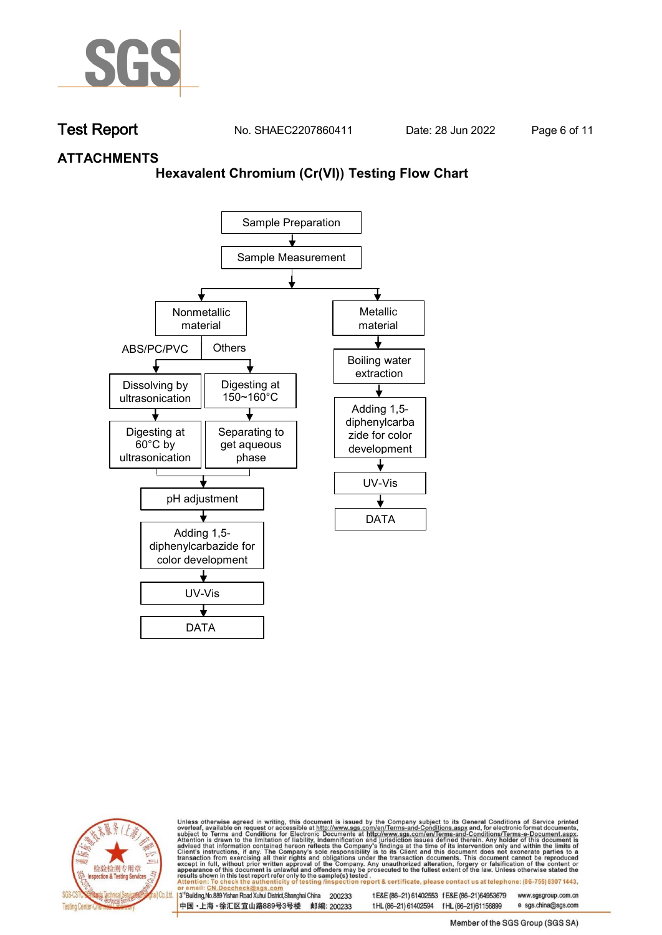

**Test Report. No. SHAEC2207860411 . Date: 28 Jun 2022. Page 6 of 11.**

## **ATTACHMENTS**

## **Hexavalent Chromium (Cr(VI)) Testing Flow Chart**





Unless otherwise agreed in writing, this document is issued by the Company subject to its General Conditions of Service printed overleaf, available on request or accessible at http://www.sgs.com/en/Terms-and-Conditions.asp

3<sup>rd</sup> Building, No.889 Yishan Road Xuhui District, Shanghai China 200233 中国·上海·徐汇区宜山路889号3号楼 邮编: 200233 tE&E (86-21) 61402553 fE&E (86-21)64953679 www.sgsgroup.com.cn t HL (86-21) 61402594 f HL (86-21) 61156899 e sgs.china@sgs.com

Member of the SGS Group (SGS SA)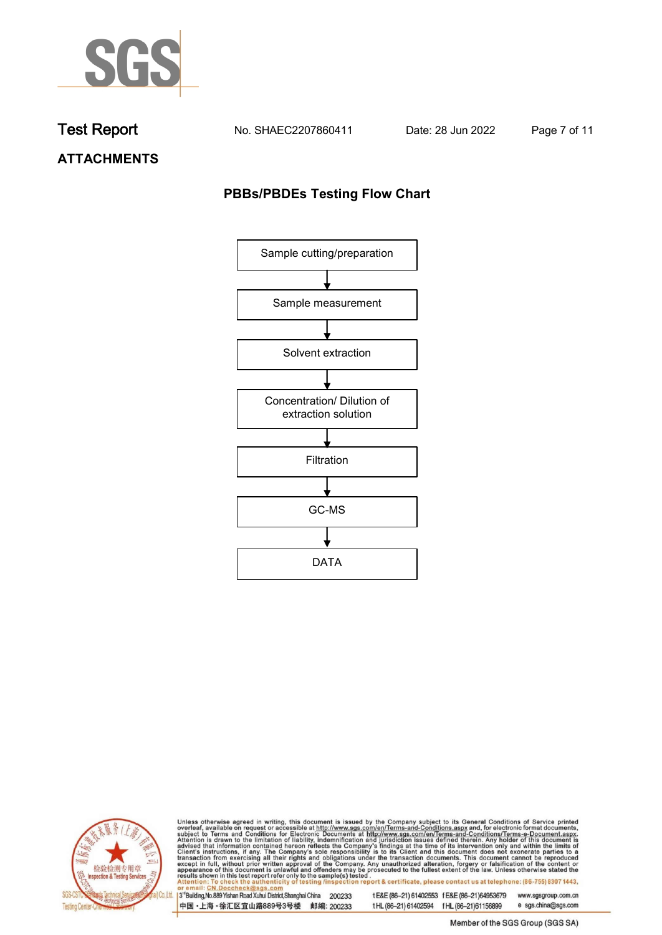

**Test Report. No. SHAEC2207860411 . Date: 28 Jun 2022. Page 7 of 11.**

**ATTACHMENTS**

# **PBBs/PBDEs Testing Flow Chart**





Unless otherwise agreed in writing, this document is issued by the Company subject to its General Conditions of Service printed overleaf, available on request or accessible at http://www.sgs.com/en/Terms-and-Conditions.asp

3<sup>'</sup>Building, No.889 Yishan Road Xuhui District, Shanghai China 200233 中国·上海·徐汇区宜山路889号3号楼 邮编: 200233

tE&E (86-21) 61402553 fE&E (86-21)64953679 www.sgsgroup.com.cn

t HL (86-21) 61402594 f HL (86-21) 61156899 e sgs.china@sgs.com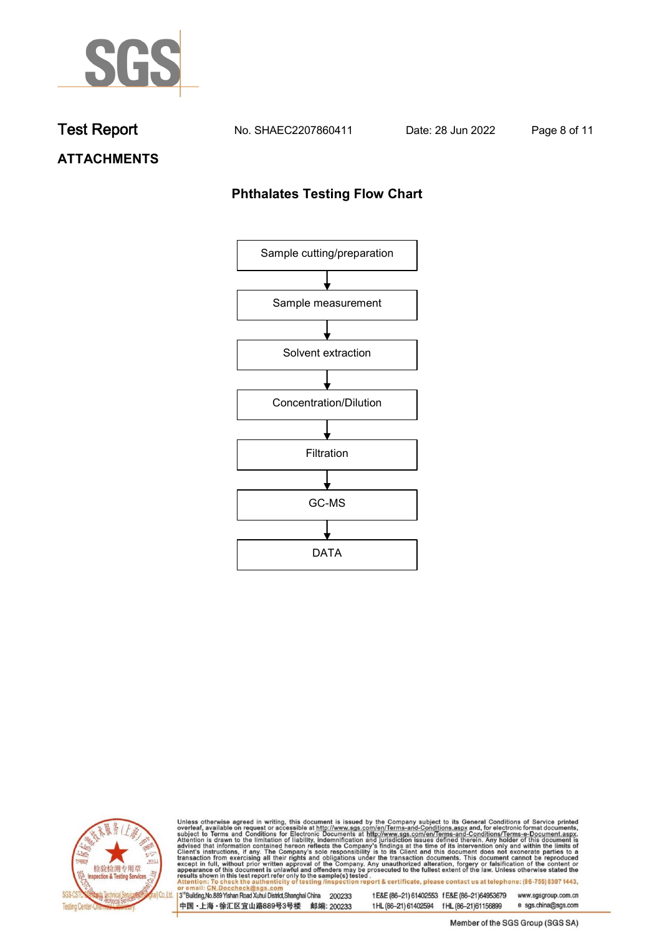

**Test Report. No. SHAEC2207860411 . Date: 28 Jun 2022. Page 8 of 11.**

# **ATTACHMENTS**

# **Phthalates Testing Flow Chart**





Unless otherwise agreed in writing, this document is issued by the Company subject to its General Conditions of Service printed overleaf, available on request or accessible at http://www.sgs.com/en/Terms-and-Conditions.asp

3<sup>'</sup>Building, No.889 Yishan Road Xuhui District, Shanghai China 200233 中国·上海·徐汇区宜山路889号3号楼 邮编: 200233

tE&E (86-21) 61402553 fE&E (86-21)64953679 www.sgsgroup.com.cn

e sgs.china@sgs.com t HL (86-21) 61402594 f HL (86-21) 61156899 Member of the SGS Group (SGS SA)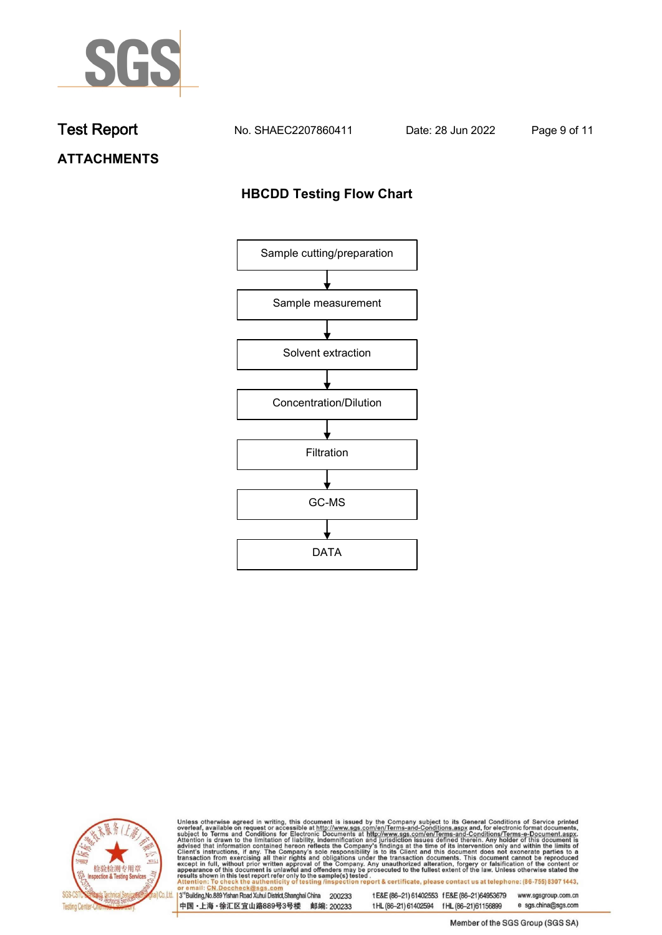

**Test Report. No. SHAEC2207860411 . Date: 28 Jun 2022. Page 9 of 11.**

**ATTACHMENTS**

# **HBCDD Testing Flow Chart**





Unless otherwise agreed in writing, this document is issued by the Company subject to its General Conditions of Service printed overleaf, available on request or accessible at http://www.sgs.com/en/Terms-and-Conditions.asp

3<sup>'</sup>Building, No.889 Yishan Road Xuhui District, Shanghai China 200233 中国·上海·徐汇区宜山路889号3号楼 邮编: 200233

tE&E (86-21) 61402553 fE&E (86-21)64953679 www.sgsgroup.com.cn

t HL (86-21) 61402594 f HL (86-21) 61156899 e sgs.china@sgs.com Member of the SGS Group (SGS SA)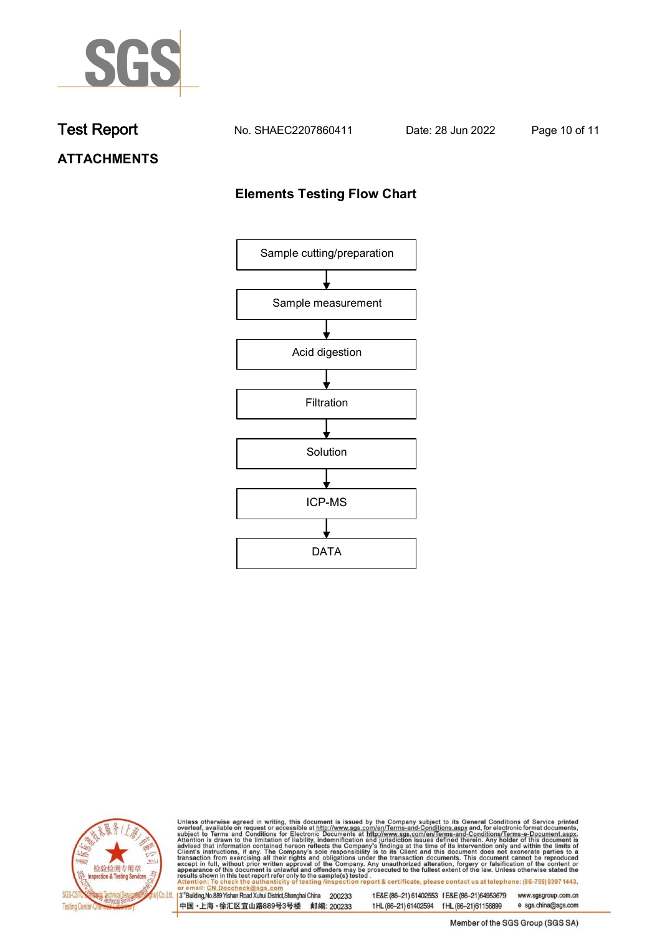

**Test Report. No. SHAEC2207860411 . Date: 28 Jun 2022. Page 10 of 11.**

**ATTACHMENTS**

# **Elements Testing Flow Chart**





Unless otherwise agreed in writing, this document is issued by the Company subject to its General Conditions of Service printed overleaf, available on request or accessible at http://www.sgs.com/en/Terms-and-Conditions.asp

3<sup>'</sup>Building, No.889 Yishan Road Xuhui District, Shanghai China 200233 中国·上海·徐汇区宜山路889号3号楼 邮编: 200233

tE&E (86-21) 61402553 fE&E (86-21)64953679 www.sgsgroup.com.cn

e sgs.china@sgs.com t HL (86-21) 61402594 f HL (86-21) 61156899